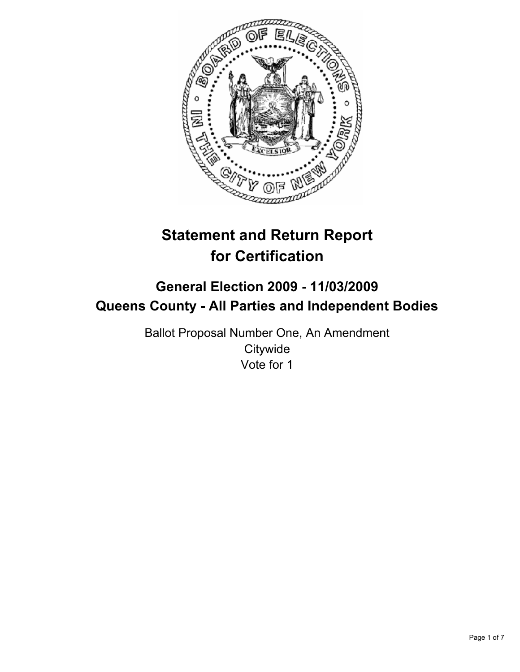

# **Statement and Return Report for Certification**

# **General Election 2009 - 11/03/2009 Queens County - All Parties and Independent Bodies**

Ballot Proposal Number One, An Amendment **Citywide** Vote for 1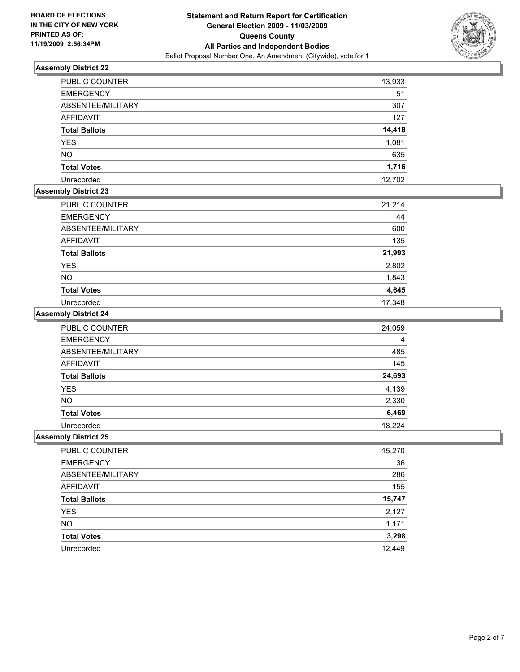

| <b>PUBLIC COUNTER</b> | 13,933 |
|-----------------------|--------|
| <b>EMERGENCY</b>      | 51     |
| ABSENTEE/MILITARY     | 307    |
| <b>AFFIDAVIT</b>      | 127    |
| <b>Total Ballots</b>  | 14,418 |
| <b>YES</b>            | 1,081  |
| <b>NO</b>             | 635    |
| <b>Total Votes</b>    | 1,716  |
| Unrecorded            | 12,702 |

# **Assembly District 23**

| PUBLIC COUNTER       | 21,214 |
|----------------------|--------|
| <b>EMERGENCY</b>     | 44     |
| ABSENTEE/MILITARY    | 600    |
| AFFIDAVIT            | 135    |
| <b>Total Ballots</b> | 21,993 |
| <b>YES</b>           | 2,802  |
| <b>NO</b>            | 1,843  |
| <b>Total Votes</b>   | 4,645  |
| Unrecorded           | 17,348 |

# **Assembly District 24**

| <b>PUBLIC COUNTER</b> | 24,059 |
|-----------------------|--------|
| <b>EMERGENCY</b>      | 4      |
| ABSENTEE/MILITARY     | 485    |
| <b>AFFIDAVIT</b>      | 145    |
| <b>Total Ballots</b>  | 24,693 |
| <b>YES</b>            | 4,139  |
| <b>NO</b>             | 2,330  |
| <b>Total Votes</b>    | 6,469  |
| Unrecorded            | 18.224 |

| PUBLIC COUNTER       | 15,270 |
|----------------------|--------|
| <b>EMERGENCY</b>     | 36     |
| ABSENTEE/MILITARY    | 286    |
| <b>AFFIDAVIT</b>     | 155    |
| <b>Total Ballots</b> | 15,747 |
| <b>YES</b>           | 2,127  |
| <b>NO</b>            | 1,171  |
| <b>Total Votes</b>   | 3,298  |
| Unrecorded           | 12,449 |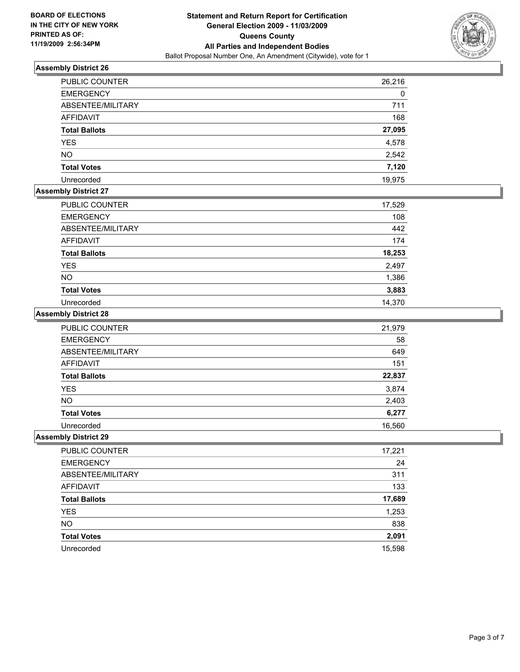

| PUBLIC COUNTER       | 26,216 |
|----------------------|--------|
| <b>EMERGENCY</b>     | 0      |
| ABSENTEE/MILITARY    | 711    |
| AFFIDAVIT            | 168    |
| <b>Total Ballots</b> | 27,095 |
| <b>YES</b>           | 4,578  |
| <b>NO</b>            | 2,542  |
| <b>Total Votes</b>   | 7,120  |
| Unrecorded           | 19.975 |

# **Assembly District 27**

| <b>PUBLIC COUNTER</b> | 17,529 |
|-----------------------|--------|
| <b>EMERGENCY</b>      | 108    |
| ABSENTEE/MILITARY     | 442    |
| AFFIDAVIT             | 174    |
| <b>Total Ballots</b>  | 18,253 |
| <b>YES</b>            | 2,497  |
| <b>NO</b>             | 1,386  |
| <b>Total Votes</b>    | 3,883  |
| Unrecorded            | 14,370 |

### **Assembly District 28**

| <b>PUBLIC COUNTER</b> | 21,979 |
|-----------------------|--------|
| <b>EMERGENCY</b>      | 58     |
| ABSENTEE/MILITARY     | 649    |
| <b>AFFIDAVIT</b>      | 151    |
| <b>Total Ballots</b>  | 22,837 |
| <b>YES</b>            | 3,874  |
| <b>NO</b>             | 2,403  |
| <b>Total Votes</b>    | 6,277  |
| Unrecorded            | 16,560 |

| PUBLIC COUNTER       | 17,221 |
|----------------------|--------|
| <b>EMERGENCY</b>     | 24     |
| ABSENTEE/MILITARY    | 311    |
| AFFIDAVIT            | 133    |
| <b>Total Ballots</b> | 17,689 |
| <b>YES</b>           | 1,253  |
| <b>NO</b>            | 838    |
| <b>Total Votes</b>   | 2,091  |
| Unrecorded           | 15,598 |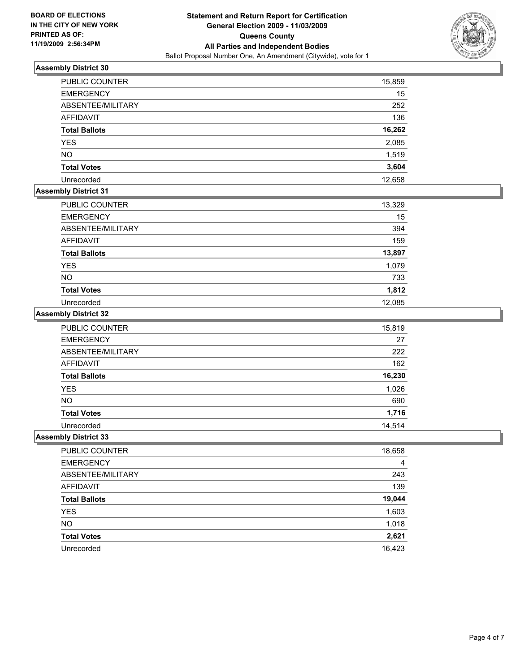

| <b>PUBLIC COUNTER</b> | 15,859 |
|-----------------------|--------|
| <b>EMERGENCY</b>      | 15     |
| ABSENTEE/MILITARY     | 252    |
| <b>AFFIDAVIT</b>      | 136    |
| <b>Total Ballots</b>  | 16,262 |
| <b>YES</b>            | 2,085  |
| <b>NO</b>             | 1,519  |
| <b>Total Votes</b>    | 3,604  |
| Unrecorded            | 12,658 |

# **Assembly District 31**

| <b>PUBLIC COUNTER</b> | 13,329 |
|-----------------------|--------|
| <b>EMERGENCY</b>      | 15     |
| ABSENTEE/MILITARY     | 394    |
| AFFIDAVIT             | 159    |
| <b>Total Ballots</b>  | 13,897 |
| <b>YES</b>            | 1,079  |
| <b>NO</b>             | 733    |
| <b>Total Votes</b>    | 1,812  |
| Unrecorded            | 12,085 |

### **Assembly District 32**

| PUBLIC COUNTER       | 15,819 |
|----------------------|--------|
| <b>EMERGENCY</b>     | 27     |
| ABSENTEE/MILITARY    | 222    |
| AFFIDAVIT            | 162    |
| <b>Total Ballots</b> | 16,230 |
| <b>YES</b>           | 1,026  |
| <b>NO</b>            | 690    |
| <b>Total Votes</b>   | 1,716  |
| Unrecorded           | 14.514 |

| PUBLIC COUNTER       | 18,658 |
|----------------------|--------|
| <b>EMERGENCY</b>     | 4      |
| ABSENTEE/MILITARY    | 243    |
| AFFIDAVIT            | 139    |
| <b>Total Ballots</b> | 19,044 |
| <b>YES</b>           | 1,603  |
| <b>NO</b>            | 1,018  |
| <b>Total Votes</b>   | 2,621  |
| Unrecorded           | 16,423 |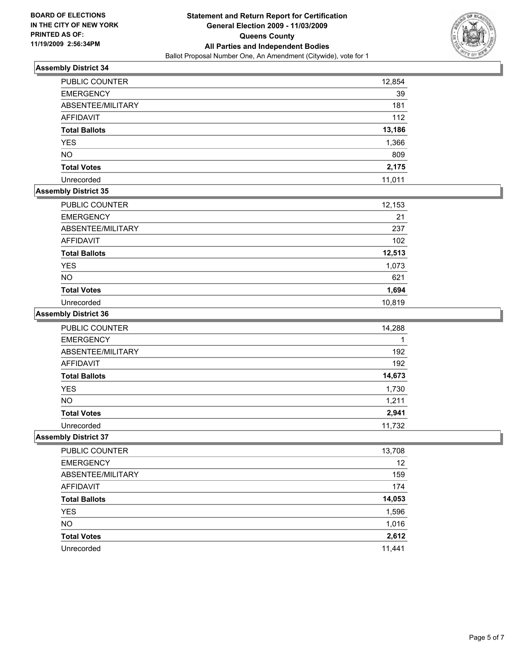

| <b>PUBLIC COUNTER</b> | 12,854 |
|-----------------------|--------|
| <b>EMERGENCY</b>      | 39     |
| ABSENTEE/MILITARY     | 181    |
| <b>AFFIDAVIT</b>      | 112    |
| <b>Total Ballots</b>  | 13,186 |
| <b>YES</b>            | 1,366  |
| <b>NO</b>             | 809    |
| <b>Total Votes</b>    | 2,175  |
| Unrecorded            | 11,011 |

## **Assembly District 35**

| PUBLIC COUNTER       | 12,153 |
|----------------------|--------|
| <b>EMERGENCY</b>     | 21     |
| ABSENTEE/MILITARY    | 237    |
| AFFIDAVIT            | 102    |
| <b>Total Ballots</b> | 12,513 |
| <b>YES</b>           | 1,073  |
| <b>NO</b>            | 621    |
| <b>Total Votes</b>   | 1,694  |
| Unrecorded           | 10,819 |

# **Assembly District 36**

| PUBLIC COUNTER       | 14,288 |
|----------------------|--------|
| <b>EMERGENCY</b>     |        |
| ABSENTEE/MILITARY    | 192    |
| <b>AFFIDAVIT</b>     | 192    |
| <b>Total Ballots</b> | 14,673 |
| <b>YES</b>           | 1,730  |
| <b>NO</b>            | 1,211  |
| <b>Total Votes</b>   | 2,941  |
| Unrecorded           | 11.732 |

| PUBLIC COUNTER       | 13,708 |
|----------------------|--------|
| <b>EMERGENCY</b>     | 12     |
| ABSENTEE/MILITARY    | 159    |
| AFFIDAVIT            | 174    |
| <b>Total Ballots</b> | 14,053 |
| <b>YES</b>           | 1,596  |
| <b>NO</b>            | 1,016  |
| <b>Total Votes</b>   | 2,612  |
| Unrecorded           | 11,441 |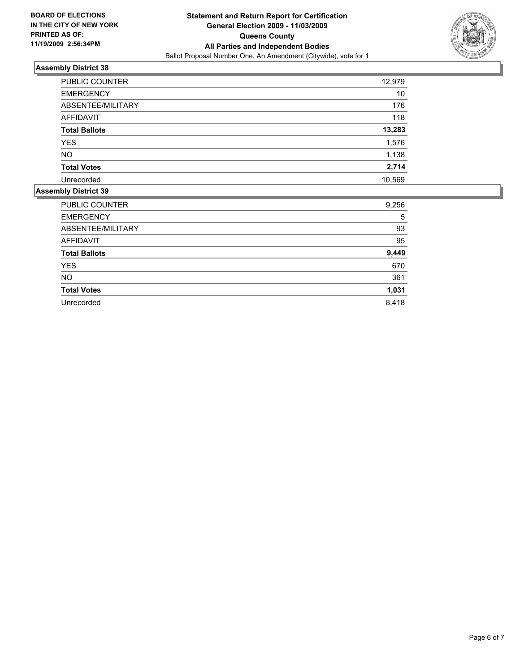

| <b>PUBLIC COUNTER</b> | 12,979 |
|-----------------------|--------|
| <b>EMERGENCY</b>      | 10     |
| ABSENTEE/MILITARY     | 176    |
| <b>AFFIDAVIT</b>      | 118    |
| <b>Total Ballots</b>  | 13,283 |
| <b>YES</b>            | 1,576  |
| <b>NO</b>             | 1,138  |
| <b>Total Votes</b>    | 2,714  |
| Unrecorded            | 10,569 |

| PUBLIC COUNTER       | 9,256 |
|----------------------|-------|
| <b>EMERGENCY</b>     | 5     |
| ABSENTEE/MILITARY    | 93    |
| <b>AFFIDAVIT</b>     | 95    |
| <b>Total Ballots</b> | 9,449 |
| <b>YES</b>           | 670   |
| NO.                  | 361   |
| <b>Total Votes</b>   | 1,031 |
| Unrecorded           | 8,418 |